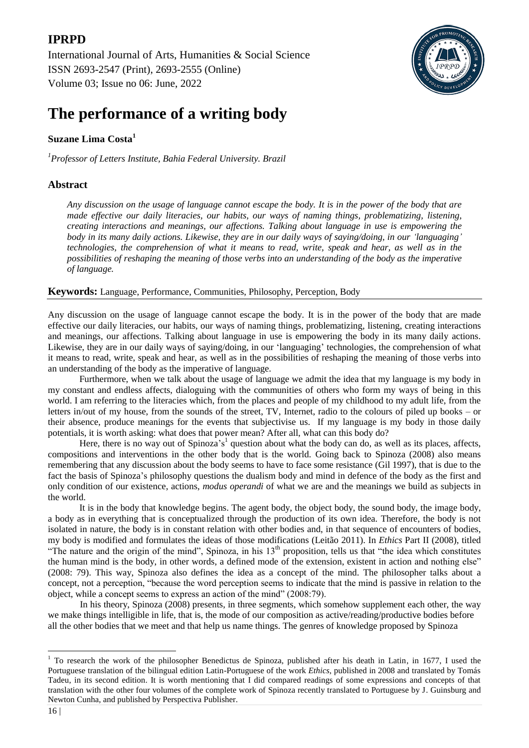## **IPRPD**

[International Journal of Arts, Humanities & Social Science](https://ijahss.net/) ISSN 2693-2547 (Print), 2693-2555 (Online) Volume 03; Issue no 06: June, 2022



# **The performance of a writing body**

### **Suzane Lima Costa<sup>1</sup>**

*1 Professor of Letters Institute, Bahia Federal University. Brazil*

### **Abstract**

*Any discussion on the usage of language cannot escape the body. It is in the power of the body that are made effective our daily literacies, our habits, our ways of naming things, problematizing, listening, creating interactions and meanings, our affections. Talking about language in use is empowering the body in its many daily actions. Likewise, they are in our daily ways of saying/doing, in our "languaging" technologies, the comprehension of what it means to read, write, speak and hear, as well as in the possibilities of reshaping the meaning of those verbs into an understanding of the body as the imperative of language.*

**Keywords:** Language, Performance, Communities, Philosophy, Perception, Body

Any discussion on the usage of language cannot escape the body. It is in the power of the body that are made effective our daily literacies, our habits, our ways of naming things, problematizing, listening, creating interactions and meanings, our affections. Talking about language in use is empowering the body in its many daily actions. Likewise, they are in our daily ways of saying/doing, in our "languaging" technologies, the comprehension of what it means to read, write, speak and hear, as well as in the possibilities of reshaping the meaning of those verbs into an understanding of the body as the imperative of language.

Furthermore, when we talk about the usage of language we admit the idea that my language is my body in my constant and endless affects, dialoguing with the communities of others who form my ways of being in this world. I am referring to the literacies which, from the places and people of my childhood to my adult life, from the letters in/out of my house, from the sounds of the street, TV, Internet, radio to the colours of piled up books – or their absence, produce meanings for the events that subjectivise us. If my language is my body in those daily potentials, it is worth asking: what does that power mean? After all, what can this body do?

Here, there is no way out of Spinoza's<sup>1</sup> question about what the body can do, as well as its places, affects, compositions and interventions in the other body that is the world. Going back to Spinoza (2008) also means remembering that any discussion about the body seems to have to face some resistance (Gil 1997), that is due to the fact the basis of Spinoza"s philosophy questions the dualism body and mind in defence of the body as the first and only condition of our existence, actions, *modus operandi* of what we are and the meanings we build as subjects in the world.

It is in the body that knowledge begins. The agent body, the object body, the sound body, the image body, a body as in everything that is conceptualized through the production of its own idea. Therefore, the body is not isolated in nature, the body is in constant relation with other bodies and, in that sequence of encounters of bodies, my body is modified and formulates the ideas of those modifications (Leitão 2011). In *Ethics* Part II (2008), titled "The nature and the origin of the mind", Spinoza, in his  $13<sup>th</sup>$  proposition, tells us that "the idea which constitutes the human mind is the body, in other words, a defined mode of the extension, existent in action and nothing else" (2008: 79). This way, Spinoza also defines the idea as a concept of the mind. The philosopher talks about a concept, not a perception, "because the word perception seems to indicate that the mind is passive in relation to the object, while a concept seems to express an action of the mind" (2008:79).

In his theory, Spinoza (2008) presents, in three segments, which somehow supplement each other, the way we make things intelligible in life, that is, the mode of our composition as active/reading/productive bodies before all the other bodies that we meet and that help us name things. The genres of knowledge proposed by Spinoza

**.** 

<sup>&</sup>lt;sup>1</sup> To research the work of the philosopher Benedictus de Spinoza, published after his death in Latin, in 1677, I used the Portuguese translation of the bilingual edition Latin-Portuguese of the work *Ethics*, published in 2008 and translated by Tomás Tadeu, in its second edition. It is worth mentioning that I did compared readings of some expressions and concepts of that translation with the other four volumes of the complete work of Spinoza recently translated to Portuguese by J. Guinsburg and Newton Cunha, and published by Perspectiva Publisher.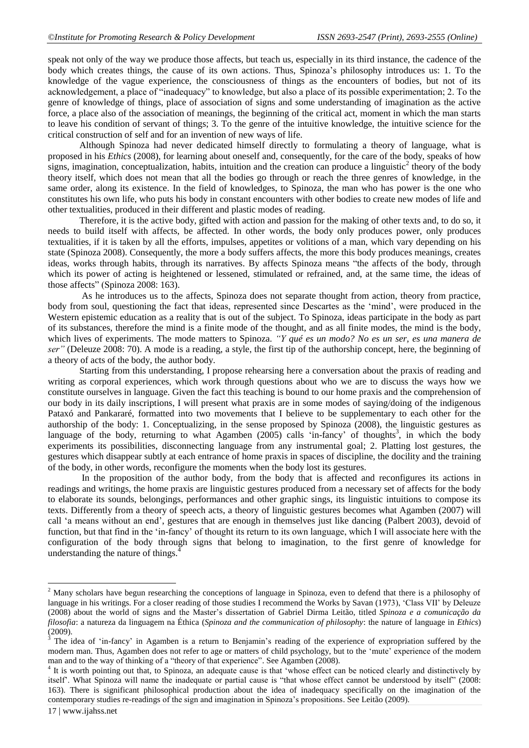speak not only of the way we produce those affects, but teach us, especially in its third instance, the cadence of the body which creates things, the cause of its own actions. Thus, Spinoza"s philosophy introduces us: 1. To the knowledge of the vague experience, the consciousness of things as the encounters of bodies, but not of its acknowledgement, a place of "inadequacy" to knowledge, but also a place of its possible experimentation; 2. To the genre of knowledge of things, place of association of signs and some understanding of imagination as the active force, a place also of the association of meanings, the beginning of the critical act, moment in which the man starts to leave his condition of servant of things; 3. To the genre of the intuitive knowledge, the intuitive science for the critical construction of self and for an invention of new ways of life.

Although Spinoza had never dedicated himself directly to formulating a theory of language, what is proposed in his *Ethics* (2008), for learning about oneself and, consequently, for the care of the body, speaks of how signs, imagination, conceptualization, habits, intuition and the creation can produce a linguistic<sup>2</sup> theory of the body theory itself, which does not mean that all the bodies go through or reach the three genres of knowledge, in the same order, along its existence. In the field of knowledges, to Spinoza, the man who has power is the one who constitutes his own life, who puts his body in constant encounters with other bodies to create new modes of life and other textualities, produced in their different and plastic modes of reading.

Therefore, it is the active body, gifted with action and passion for the making of other texts and, to do so, it needs to build itself with affects, be affected. In other words, the body only produces power, only produces textualities, if it is taken by all the efforts, impulses, appetites or volitions of a man, which vary depending on his state (Spinoza 2008). Consequently, the more a body suffers affects, the more this body produces meanings, creates ideas, works through habits, through its narratives. By affects Spinoza means "the affects of the body, through which its power of acting is heightened or lessened, stimulated or refrained, and, at the same time, the ideas of those affects" (Spinoza 2008: 163).

As he introduces us to the affects, Spinoza does not separate thought from action, theory from practice, body from soul, questioning the fact that ideas, represented since Descartes as the "mind", were produced in the Western epistemic education as a reality that is out of the subject. To Spinoza, ideas participate in the body as part of its substances, therefore the mind is a finite mode of the thought, and as all finite modes, the mind is the body, which lives of experiments. The mode matters to Spinoza. *"Y qué es un modo? No es un ser, es una manera de ser"* (Deleuze 2008: 70). A mode is a reading, a style, the first tip of the authorship concept, here, the beginning of a theory of acts of the body, the author body.

Starting from this understanding, I propose rehearsing here a conversation about the praxis of reading and writing as corporal experiences, which work through questions about who we are to discuss the ways how we constitute ourselves in language. Given the fact this teaching is bound to our home praxis and the comprehension of our body in its daily inscriptions, I will present what praxis are in some modes of saying/doing of the indigenous Pataxó and Pankararé, formatted into two movements that I believe to be supplementary to each other for the authorship of the body: 1. Conceptualizing, in the sense proposed by Spinoza (2008), the linguistic gestures as language of the body, returning to what Agamben  $(2005)$  calls 'in-fancy' of thoughts<sup>3</sup>, in which the body experiments its possibilities, disconnecting language from any instrumental goal; 2. Platting lost gestures, the gestures which disappear subtly at each entrance of home praxis in spaces of discipline, the docility and the training of the body, in other words, reconfigure the moments when the body lost its gestures.

In the proposition of the author body, from the body that is affected and reconfigures its actions in readings and writings, the home praxis are linguistic gestures produced from a necessary set of affects for the body to elaborate its sounds, belongings, performances and other graphic sings, its linguistic intuitions to compose its texts. Differently from a theory of speech acts, a theory of linguistic gestures becomes what Agamben (2007) will call "a means without an end", gestures that are enough in themselves just like dancing (Palbert 2003), devoid of function, but that find in the "in-fancy" of thought its return to its own language, which I will associate here with the configuration of the body through signs that belong to imagination, to the first genre of knowledge for understanding the nature of things. $^{4}$ 

**.** 

<sup>&</sup>lt;sup>2</sup> Many scholars have begun researching the conceptions of language in Spinoza, even to defend that there is a philosophy of language in his writings. For a closer reading of those studies I recommend the Works by Savan (1973), "Class VII" by Deleuze (2008) about the world of signs and the Master"s dissertation of Gabriel Dirma Leitão, titled *Spinoza e a comunicação da filosofia*: a natureza da linguagem na Éthica (*Spinoza and the communication of philosophy*: the nature of language in *Ethics*)  $(2009)$ .

The idea of "in-fancy" in Agamben is a return to Benjamin"s reading of the experience of expropriation suffered by the modern man. Thus, Agamben does not refer to age or matters of child psychology, but to the "mute" experience of the modern man and to the way of thinking of a "theory of that experience". See Agamben (2008).

<sup>&</sup>lt;sup>4</sup> It is worth pointing out that, to Spinoza, an adequate cause is that 'whose effect can be noticed clearly and distinctively by itself". What Spinoza will name the inadequate or partial cause is "that whose effect cannot be understood by itself" (2008: 163). There is significant philosophical production about the idea of inadequacy specifically on the imagination of the contemporary studies re-readings of the sign and imagination in Spinoza"s propositions. See Leitão (2009).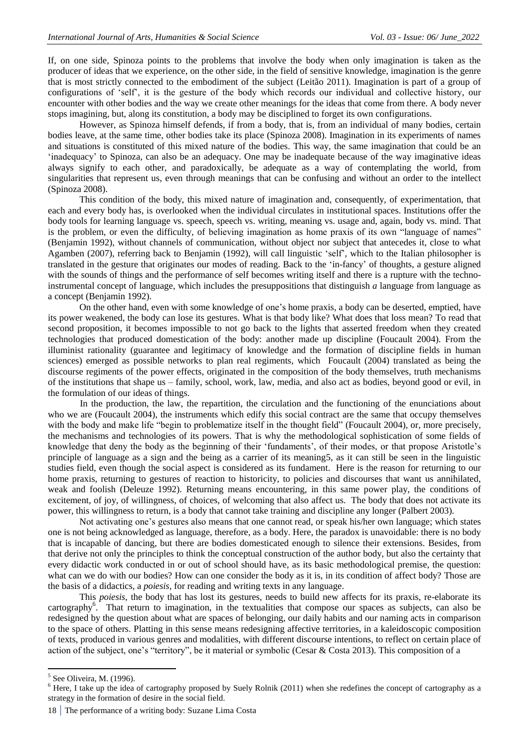If, on one side, Spinoza points to the problems that involve the body when only imagination is taken as the producer of ideas that we experience, on the other side, in the field of sensitive knowledge, imagination is the genre that is most strictly connected to the embodiment of the subject (Leitão 2011). Imagination is part of a group of configurations of "self", it is the gesture of the body which records our individual and collective history, our encounter with other bodies and the way we create other meanings for the ideas that come from there. A body never stops imagining, but, along its constitution, a body may be disciplined to forget its own configurations.

However, as Spinoza himself defends, if from a body, that is, from an individual of many bodies, certain bodies leave, at the same time, other bodies take its place (Spinoza 2008). Imagination in its experiments of names and situations is constituted of this mixed nature of the bodies. This way, the same imagination that could be an "inadequacy" to Spinoza, can also be an adequacy. One may be inadequate because of the way imaginative ideas always signify to each other, and paradoxically, be adequate as a way of contemplating the world, from singularities that represent us, even through meanings that can be confusing and without an order to the intellect (Spinoza 2008).

This condition of the body, this mixed nature of imagination and, consequently, of experimentation, that each and every body has, is overlooked when the individual circulates in institutional spaces. Institutions offer the body tools for learning language vs. speech, speech vs. writing, meaning vs. usage and, again, body vs. mind. That is the problem, or even the difficulty, of believing imagination as home praxis of its own "language of names" (Benjamin 1992), without channels of communication, without object nor subject that antecedes it, close to what Agamben (2007), referring back to Benjamin (1992), will call linguistic "self", which to the Italian philosopher is translated in the gesture that originates our modes of reading. Back to the "in-fancy" of thoughts, a gesture aligned with the sounds of things and the performance of self becomes writing itself and there is a rupture with the technoinstrumental concept of language, which includes the presuppositions that distinguish *a* language from language as a concept (Benjamin 1992).

On the other hand, even with some knowledge of one"s home praxis, a body can be deserted, emptied, have its power weakened, the body can lose its gestures. What is that body like? What does that loss mean? To read that second proposition, it becomes impossible to not go back to the lights that asserted freedom when they created technologies that produced domestication of the body: another made up discipline (Foucault 2004). From the illuminist rationality (guarantee and legitimacy of knowledge and the formation of discipline fields in human sciences) emerged as possible networks to plan real regiments, which Foucault (2004) translated as being the discourse regiments of the power effects, originated in the composition of the body themselves, truth mechanisms of the institutions that shape us – family, school, work, law, media, and also act as bodies, beyond good or evil, in the formulation of our ideas of things.

In the production, the law, the repartition, the circulation and the functioning of the enunciations about who we are (Foucault 2004), the instruments which edify this social contract are the same that occupy themselves with the body and make life "begin to problematize itself in the thought field" (Foucault 2004), or, more precisely, the mechanisms and technologies of its powers. That is why the methodological sophistication of some fields of knowledge that deny the body as the beginning of their "fundaments", of their modes, or that propose Aristotle"s principle of language as a sign and the being as a carrier of its meaning5, as it can still be seen in the linguistic studies field, even though the social aspect is considered as its fundament. Here is the reason for returning to our home praxis, returning to gestures of reaction to historicity, to policies and discourses that want us annihilated, weak and foolish (Deleuze 1992). Returning means encountering, in this same power play, the conditions of excitement, of joy, of willingness, of choices, of welcoming that also affect us. The body that does not activate its power, this willingness to return, is a body that cannot take training and discipline any longer (Palbert 2003).

Not activating one"s gestures also means that one cannot read, or speak his/her own language; which states one is not being acknowledged as language, therefore, as a body. Here, the paradox is unavoidable: there is no body that is incapable of dancing, but there are bodies domesticated enough to silence their extensions. Besides, from that derive not only the principles to think the conceptual construction of the author body, but also the certainty that every didactic work conducted in or out of school should have, as its basic methodological premise, the question: what can we do with our bodies? How can one consider the body as it is, in its condition of affect body? Those are the basis of a didactics, a *poiesis*, for reading and writing texts in any language.

This *poiesis*, the body that has lost its gestures, needs to build new affects for its praxis, re-elaborate its cartography<sup>6</sup>. That return to imagination, in the textualities that compose our spaces as subjects, can also be redesigned by the question about what are spaces of belonging, our daily habits and our naming acts in comparison to the space of others. Platting in this sense means redesigning affective territories, in a kaleidoscopic composition of texts, produced in various genres and modalities, with different discourse intentions, to reflect on certain place of action of the subject, one's "territory", be it material or symbolic (Cesar & Costa 2013). This composition of a

<sup>&</sup>lt;sup>5</sup> See Oliveira, M. (1996).

<sup>&</sup>lt;sup>6</sup> Here, I take up the idea of cartography proposed by Suely Rolnik (2011) when she redefines the concept of cartography as a strategy in the formation of desire in the social field.

<sup>18</sup> **|** The performance of a writing body: Suzane Lima Costa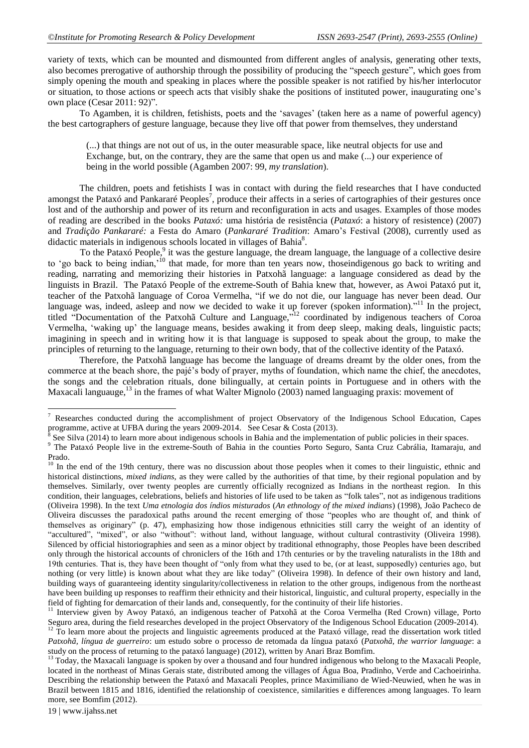variety of texts, which can be mounted and dismounted from different angles of analysis, generating other texts, also becomes prerogative of authorship through the possibility of producing the "speech gesture", which goes from simply opening the mouth and speaking in places where the possible speaker is not ratified by his/her interlocutor or situation, to those actions or speech acts that visibly shake the positions of instituted power, inaugurating one"s own place (Cesar 2011: 92)".

To Agamben, it is children, fetishists, poets and the "savages" (taken here as a name of powerful agency) the best cartographers of gesture language, because they live off that power from themselves, they understand

(...) that things are not out of us, in the outer measurable space, like neutral objects for use and Exchange, but, on the contrary, they are the same that open us and make (...) our experience of being in the world possible (Agamben 2007: 99, *my translation*).

The children, poets and fetishists I was in contact with during the field researches that I have conducted amongst the Pataxó and Pankararé Peoples<sup>7</sup>, produce their affects in a series of cartographies of their gestures once lost and of the authorship and power of its return and reconfiguration in acts and usages. Examples of those modes of reading are described in the books *Pataxó:* uma história de resistência (*Pataxó*: a history of resistence) (2007) and *Tradição Pankararé:* a Festa do Amaro (*Pankararé Tradition*: Amaro"s Festival (2008), currently used as didactic materials in indigenous schools located in villages of Bahia<sup>8</sup>.

To the Pataxó People,<sup>9</sup> it was the gesture language, the dream language, the language of a collective desire to "go back to being indian,"<sup>10</sup> that made, for more than ten years now, thoseindigenous go back to writing and reading, narrating and memorizing their histories in Patxohã language: a language considered as dead by the linguists in Brazil. The Pataxó People of the extreme-South of Bahia knew that, however, as Awoi Pataxó put it, teacher of the Patxohã language of Coroa Vermelha, "if we do not die, our language has never been dead. Our language was, indeed, asleep and now we decided to wake it up forever (spoken information)."<sup>11</sup> In the project, titled "Documentation of the Patxohã Culture and Language,"<sup>12</sup> coordinated by indigenous teachers of Coroa Vermelha, "waking up" the language means, besides awaking it from deep sleep, making deals, linguistic pacts; imagining in speech and in writing how it is that language is supposed to speak about the group, to make the principles of returning to the language, returning to their own body, that of the collective identity of the Pataxó.

Therefore, the Patxohã language has become the language of dreams dreamt by the older ones, from the commerce at the beach shore, the pajé"s body of prayer, myths of foundation, which name the chief, the anecdotes, the songs and the celebration rituals, done bilingually, at certain points in Portuguese and in others with the Maxacali languauge,<sup>13</sup> in the frames of what Walter Mignolo (2003) named languaging praxis: movement of

 $\overline{\phantom{a}}$ 

<sup>&</sup>lt;sup>7</sup> Researches conducted during the accomplishment of project Observatory of the Indigenous School Education, Capes programme, active at UFBA during the years 2009-2014. See Cesar & Costa (2013).

See Silva (2014) to learn more about indigenous schools in Bahia and the implementation of public policies in their spaces.

<sup>&</sup>lt;sup>9</sup> The Pataxó People live in the extreme-South of Bahia in the counties Porto Seguro, Santa Cruz Cabrália, Itamaraju, and Prado.

<sup>&</sup>lt;sup>10</sup> In the end of the 19th century, there was no discussion about those peoples when it comes to their linguistic, ethnic and historical distinctions, *mixed indians*, as they were called by the authorities of that time, by their regional population and by themselves. Similarly, over twenty peoples are currently officially recognized as Indians in the northeast region. In this condition, their languages, celebrations, beliefs and histories of life used to be taken as "folk tales", not as indigenous traditions (Oliveira 1998). In the text *Uma etnologia dos índios misturados* (*An ethnology of the mixed indians*) (1998), João Pacheco de Oliveira discusses the paradoxical paths around the recent emerging of those "peoples who are thought of, and think of themselves as originary" (p. 47), emphasizing how those indigenous ethnicities still carry the weight of an identity of "accultured", "mixed", or also "without": without land, without language, without cultural contrastivity (Oliveira 1998). Silenced by official historiographies and seen as a minor object by traditional ethnography, those Peoples have been described only through the historical accounts of chroniclers of the 16th and 17th centuries or by the traveling naturalists in the 18th and 19th centuries. That is, they have been thought of "only from what they used to be, (or at least, supposedly) centuries ago, but nothing (or very little) is known about what they are like today" (Oliveira 1998). In defence of their own history and land, building ways of guaranteeing identity singularity/collectiveness in relation to the other groups, indigenous from the northeast have been building up responses to reaffirm their ethnicity and their historical, linguistic, and cultural property, especially in the field of fighting for demarcation of their lands and, consequently, for the continuity of their life histories.

<sup>&</sup>lt;sup>11</sup> Interview given by Awoy Pataxó, an indigenous teacher of Patxohã at the Coroa Vermelha (Red Crown) village, Porto Seguro area, during the field researches developed in the project Observatory of the Indigenous School Education (2009-2014). <sup>12</sup> To learn more about the projects and linguistic agreements produced at the Pataxó village, read the dissertation work titled *Patxohã, língua de guerreiro*: um estudo sobre o processo de retomada da língua pataxó (*Patxohã, the warrior language*: a study on the process of returning to the pataxó language) (2012), written by Anari Braz Bomfim.

<sup>&</sup>lt;sup>13</sup> Today, the Maxacali language is spoken by over a thousand and four hundred indigenous who belong to the Maxacali People, located in the northeast of Minas Gerais state, distributed among the villages of Água Boa, Pradinho, Verde and Cachoeirinha. Describing the relationship between the Pataxó and Maxacali Peoples, prince Maximiliano de Wied-Neuwied, when he was in Brazil between 1815 and 1816, identified the relationship of coexistence, similarities e differences among languages. To learn more, see Bomfim (2012).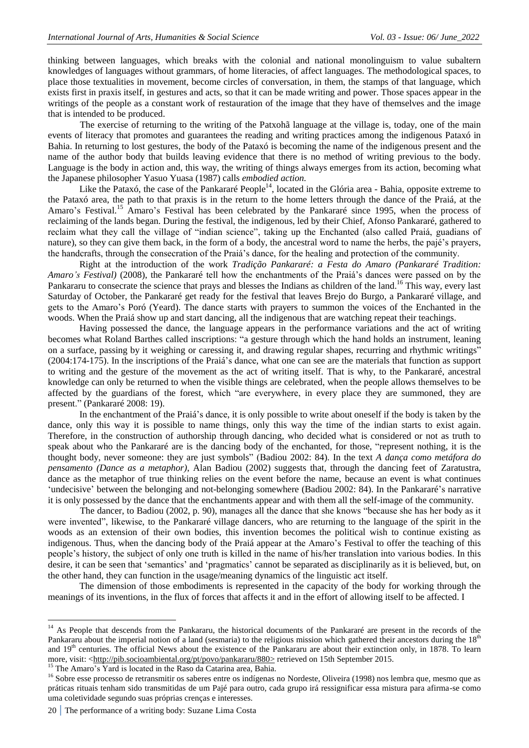thinking between languages, which breaks with the colonial and national monolinguism to value subaltern knowledges of languages without grammars, of home literacies, of affect languages. The methodological spaces, to place those textualities in movement, become circles of conversation, in them, the stamps of that language, which exists first in praxis itself, in gestures and acts, so that it can be made writing and power. Those spaces appear in the writings of the people as a constant work of restauration of the image that they have of themselves and the image that is intended to be produced.

The exercise of returning to the writing of the Patxohã language at the village is, today, one of the main events of literacy that promotes and guarantees the reading and writing practices among the indigenous Pataxó in Bahia. In returning to lost gestures, the body of the Pataxó is becoming the name of the indigenous present and the name of the author body that builds leaving evidence that there is no method of writing previous to the body. Language is the body in action and, this way, the writing of things always emerges from its action, becoming what the Japanese philosopher Yasuo Yuasa (1987) calls *embodied action.*

Like the Pataxó, the case of the Pankararé People<sup>14</sup>, located in the Glória area - Bahia, opposite extreme to the Pataxó area, the path to that praxis is in the return to the home letters through the dance of the Praiá, at the Amaro's Festival.<sup>15</sup> Amaro's Festival has been celebrated by the Pankararé since 1995, when the process of reclaiming of the lands began. During the festival, the indigenous, led by their Chief, Afonso Pankararé, gathered to reclaim what they call the village of "indian science", taking up the Enchanted (also called Praiá, guadians of nature), so they can give them back, in the form of a body, the ancestral word to name the herbs, the pajé"s prayers, the handcrafts, through the consecration of the Praiá"s dance, for the healing and protection of the community.

Right at the introduction of the work *Tradição Pankararé: a Festa do Amaro (Pankararé Tradition: Amaro"s Festival)* (2008), the Pankararé tell how the enchantments of the Praiá"s dances were passed on by the Pankararu to consecrate the science that prays and blesses the Indians as children of the land.<sup>16</sup> This way, every last Saturday of October, the Pankararé get ready for the festival that leaves Brejo do Burgo, a Pankararé village, and gets to the Amaro"s Poró (Yeard). The dance starts with prayers to summon the voices of the Enchanted in the woods. When the Praiá show up and start dancing, all the indigenous that are watching repeat their teachings.

Having possessed the dance, the language appears in the performance variations and the act of writing becomes what Roland Barthes called inscriptions: "a gesture through which the hand holds an instrument, leaning on a surface, passing by it weighing or caressing it, and drawing regular shapes, recurring and rhythmic writings" (2004:174-175). In the inscriptions of the Praiá"s dance, what one can see are the materials that function as support to writing and the gesture of the movement as the act of writing itself. That is why, to the Pankararé, ancestral knowledge can only be returned to when the visible things are celebrated, when the people allows themselves to be affected by the guardians of the forest, which "are everywhere, in every place they are summoned, they are present." (Pankararé 2008: 19).

In the enchantment of the Praiá"s dance, it is only possible to write about oneself if the body is taken by the dance, only this way it is possible to name things, only this way the time of the indian starts to exist again. Therefore, in the construction of authorship through dancing, who decided what is considered or not as truth to speak about who the Pankararé are is the dancing body of the enchanted, for those, "represent nothing, it is the thought body, never someone: they are just symbols" (Badiou 2002: 84). In the text *A dança como metáfora do pensamento (Dance as a metaphor)*, Alan Badiou (2002) suggests that, through the dancing feet of Zaratustra, dance as the metaphor of true thinking relies on the event before the name, because an event is what continues 'undecisive' between the belonging and not-belonging somewhere (Badiou 2002: 84). In the Pankararé's narrative it is only possessed by the dance that the enchantments appear and with them all the self-image of the community.

The dancer, to Badiou (2002, p. 90), manages all the dance that she knows "because she has her body as it were invented", likewise, to the Pankararé village dancers, who are returning to the language of the spirit in the woods as an extension of their own bodies, this invention becomes the political wish to continue existing as indigenous. Thus, when the dancing body of the Praiá appear at the Amaro"s Festival to offer the teaching of this people"s history, the subject of only one truth is killed in the name of his/her translation into various bodies. In this desire, it can be seen that 'semantics' and 'pragmatics' cannot be separated as disciplinarily as it is believed, but, on the other hand, they can function in the usage/meaning dynamics of the linguistic act itself.

The dimension of those embodiments is represented in the capacity of the body for working through the meanings of its inventions, in the flux of forces that affects it and in the effort of allowing itself to be affected. I

<sup>15</sup> The Amaro"s Yard is located in the Raso da Catarina area, Bahia.

1

<sup>&</sup>lt;sup>14</sup> As People that descends from the Pankararu, the historical documents of the Pankararé are present in the records of the Pankararu about the imperial notion of a land (sesmaria) to the religious mission which gathered their ancestors during the  $18<sup>th</sup>$ and 19<sup>th</sup> centuries. The official News about the existence of the Pankararu are about their extinction only, in 1878. To learn more, visit: [<http://pib.socioambiental.org/pt/povo/pankararu/880>](http://pib.socioambiental.org/pt/povo/pankararu/880) retrieved on 15th September 2015.

<sup>&</sup>lt;sup>16</sup> Sobre esse processo de retransmitir os saberes entre os indígenas no Nordeste, Oliveira (1998) nos lembra que, mesmo que as práticas rituais tenham sido transmitidas de um Pajé para outro, cada grupo irá ressignificar essa mistura para afirma-se como uma coletividade segundo suas próprias crenças e interesses.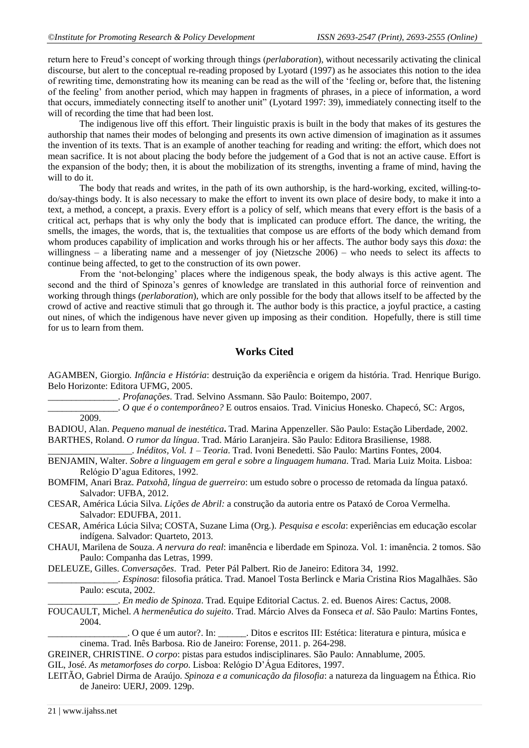return here to Freud"s concept of working through things (*perlaboration*), without necessarily activating the clinical discourse, but alert to the conceptual re-reading proposed by Lyotard (1997) as he associates this notion to the idea of rewriting time, demonstrating how its meaning can be read as the will of the "feeling or, before that, the listening of the feeling" from another period, which may happen in fragments of phrases, in a piece of information, a word that occurs, immediately connecting itself to another unit" (Lyotard 1997: 39), immediately connecting itself to the will of recording the time that had been lost.

The indigenous live off this effort. Their linguistic praxis is built in the body that makes of its gestures the authorship that names their modes of belonging and presents its own active dimension of imagination as it assumes the invention of its texts. That is an example of another teaching for reading and writing: the effort, which does not mean sacrifice. It is not about placing the body before the judgement of a God that is not an active cause. Effort is the expansion of the body; then, it is about the mobilization of its strengths, inventing a frame of mind, having the will to do it.

The body that reads and writes, in the path of its own authorship, is the hard-working, excited, willing-todo/say-things body. It is also necessary to make the effort to invent its own place of desire body, to make it into a text, a method, a concept, a praxis. Every effort is a policy of self, which means that every effort is the basis of a critical act, perhaps that is why only the body that is implicated can produce effort. The dance, the writing, the smells, the images, the words, that is, the textualities that compose us are efforts of the body which demand from whom produces capability of implication and works through his or her affects. The author body says this *doxa*: the willingness – a liberating name and a messenger of joy (Nietzsche 2006) – who needs to select its affects to continue being affected, to get to the construction of its own power.

From the "not-belonging" places where the indigenous speak, the body always is this active agent. The second and the third of Spinoza"s genres of knowledge are translated in this authorial force of reinvention and working through things (*perlaboration*), which are only possible for the body that allows itself to be affected by the crowd of active and reactive stimuli that go through it. The author body is this practice, a joyful practice, a casting out nines, of which the indigenous have never given up imposing as their condition. Hopefully, there is still time for us to learn from them.

#### **Works Cited**

AGAMBEN, Giorgio. *Infância e História*: destruição da experiência e origem da história. Trad. Henrique Burigo. Belo Horizonte: Editora UFMG, 2005.

\_\_\_\_\_\_\_\_\_\_\_\_\_\_\_. *Profanações*. Trad. Selvino Assmann. São Paulo: Boitempo, 2007.

\_\_\_\_\_\_\_\_\_\_\_\_\_\_\_. *O que é o contemporâneo?* E outros ensaios. Trad. Vinicius Honesko. Chapecó, SC: Argos, 2009.

BADIOU, Alan. *Pequeno manual de inestética***.** Trad. Marina Appenzeller. São Paulo: Estação Liberdade, 2002. BARTHES, Roland. *O rumor da língua*. Trad. Mário Laranjeira. São Paulo: Editora Brasiliense, 1988.

\_\_\_\_\_\_\_\_\_\_\_\_\_\_\_\_\_\_. *Inéditos, Vol. 1 – Teoria*. Trad. Ivoni Benedetti. São Paulo: Martins Fontes, 2004.

BENJAMIN, Walter. *Sobre a linguagem em geral e sobre a linguagem humana*. Trad. Maria Luiz Moita. Lisboa: Relógio D"agua Editores, 1992.

BOMFIM, Anari Braz. *Patxohã, língua de guerreiro*: um estudo sobre o processo de retomada da língua pataxó. Salvador: UFBA, 2012.

CESAR, América Lúcia Silva. *Lições de Abril:* a construção da autoria entre os Pataxó de Coroa Vermelha. Salvador: EDUFBA, 2011.

CESAR, América Lúcia Silva; COSTA, Suzane Lima (Org.). *Pesquisa e escola*: experiências em educação escolar indígena. Salvador: Quarteto, 2013.

CHAUI, Marilena de Souza. *A nervura do real*: imanência e liberdade em Spinoza. Vol. 1: imanência. 2 tomos. São Paulo: Companha das Letras, 1999.

DELEUZE, Gilles. *Conversações*. Trad. Peter Pál Palbert. Rio de Janeiro: Editora 34, 1992.

\_\_\_\_\_\_\_\_\_\_\_\_\_\_\_. *Espinosa*: filosofia prática. Trad. Manoel Tosta Berlinck e Maria Cristina Rios Magalhães. São Paulo: escuta, 2002.

\_\_\_\_\_\_\_\_\_\_\_\_\_\_\_. *En medio de Spinoza*. Trad. Equipe Editorial Cactus. 2. ed. Buenos Aires: Cactus, 2008.

FOUCAULT, Michel. *A hermenêutica do sujeito*. Trad. Márcio Alves da Fonseca *et al*. São Paulo: Martins Fontes, 2004.

O que é um autor?. In: \_\_\_\_\_\_\_. Ditos e escritos III: Estética: literatura e pintura, música e cinema. Trad. Inês Barbosa. Rio de Janeiro: Forense, 2011. p. 264-298.

GREINER, CHRISTINE. *O corpo*: pistas para estudos indisciplinares. São Paulo: Annablume, 2005.

GIL, José. *As metamorfoses do corpo*. Lisboa: Relógio D"Água Editores, 1997.

LEITÃO, Gabriel Dirma de Araújo. *Spinoza e a comunicação da filosofia*: a natureza da linguagem na Éthica. Rio de Janeiro: UERJ, 2009. 129p.